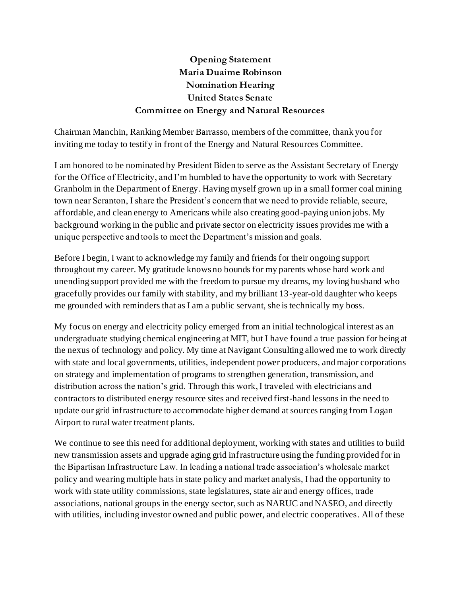## **Opening Statement Maria Duaime Robinson Nomination Hearing United States Senate Committee on Energy and Natural Resources**

Chairman Manchin, Ranking Member Barrasso, members of the committee, thank you for inviting me today to testify in front of the Energy and Natural Resources Committee.

I am honored to be nominated by President Biden to serve as the Assistant Secretary of Energy for the Office of Electricity, and I'm humbled to have the opportunity to work with Secretary Granholm in the Department of Energy. Having myself grown up in a small former coal mining town near Scranton, I share the President's concern that we need to provide reliable, secure, affordable, and clean energy to Americans while also creating good-paying union jobs. My background working in the public and private sector on electricity issues provides me with a unique perspective and tools to meet the Department's mission and goals.

Before I begin, I want to acknowledge my family and friends for their ongoing support throughout my career. My gratitude knows no bounds for my parents whose hard work and unending support provided me with the freedom to pursue my dreams, my loving husband who gracefully provides our family with stability, and my brilliant 13-year-old daughter who keeps me grounded with reminders that as I am a public servant, she is technically my boss.

My focus on energy and electricity policy emerged from an initial technological interest as an undergraduate studying chemical engineering at MIT, but I have found a true passion for being at the nexus of technology and policy. My time at Navigant Consulting allowed me to work directly with state and local governments, utilities, independent power producers, and major corporations on strategy and implementation of programs to strengthen generation, transmission, and distribution across the nation's grid. Through this work, I traveled with electricians and contractors to distributed energy resource sites and received first-hand lessons in the need to update our grid infrastructure to accommodate higher demand at sources ranging from Logan Airport to rural water treatment plants.

We continue to see this need for additional deployment, working with states and utilities to build new transmission assets and upgrade aging grid infrastructure using the funding provided for in the Bipartisan Infrastructure Law. In leading a national trade association's wholesale market policy and wearing multiple hats in state policy and market analysis, I had the opportunity to work with state utility commissions, state legislatures, state air and energy offices, trade associations, national groups in the energy sector, such as NARUC and NASEO, and directly with utilities, including investor owned and public power, and electric cooperatives. All of these